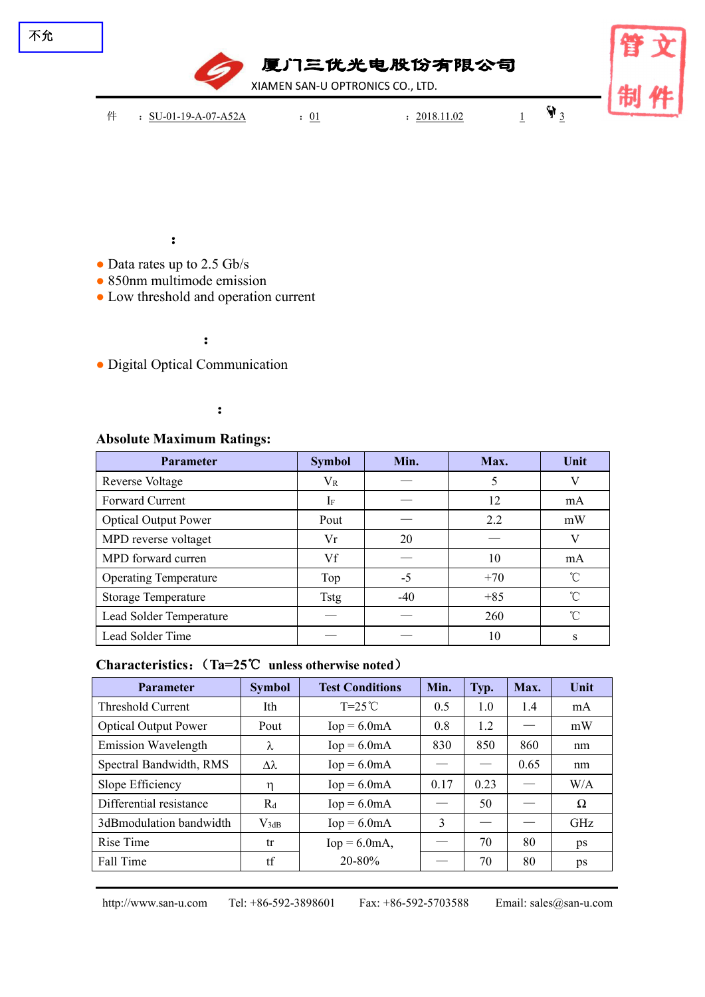

# **2.5G 850nm VCSEL LD TO-CAN Series**

### **Features**:

- Data rates up to 2.5 Gb/s
- 850nm multimode emission
- Low threshold and operation current

# **Applications**:

• Digital Optical Communication

# **Specifications**:

#### **Absolute Maximum Ratings:**

| Parameter                    | <b>Symbol</b> | Min.  | Max.  | Unit         |
|------------------------------|---------------|-------|-------|--------------|
| Reverse Voltage              | $V_{R}$       |       |       | V            |
| Forward Current              | $I_F$         |       | 12    | mA           |
| <b>Optical Output Power</b>  | Pout          |       | 2.2   | mW           |
| MPD reverse voltaget         | Vr            | 20    |       | V            |
| MPD forward curren           | Vf            |       | 10    | mA           |
| <b>Operating Temperature</b> | Top           | $-5$  | $+70$ | $^{\circ}$ C |
| <b>Storage Temperature</b>   | <b>Tstg</b>   | $-40$ | $+85$ | °C           |
| Lead Solder Temperature      |               |       | 260   | $^{\circ}$ C |
| Lead Solder Time             |               |       | 10    | S            |

#### **Characteristics**:(**Ta=25**℃ **unless otherwise noted**)

| <b>Parameter</b>            | <b>Symbol</b> | <b>Test Conditions</b>            | Min. | Typ. | Max. | Unit     |
|-----------------------------|---------------|-----------------------------------|------|------|------|----------|
| Threshold Current           | Ith           | $T=25^{\circ}C$                   | 0.5  | 1.0  | 1.4  | mA       |
| <b>Optical Output Power</b> | Pout          | 1.2<br>$Iop = 6.0mA$<br>0.8<br>mW |      |      |      |          |
| <b>Emission Wavelength</b>  | λ             | $\text{Iop} = 6.0 \text{mA}$      | 830  | 850  | 860  | nm       |
| Spectral Bandwidth, RMS     | Δλ            | $\text{Iop} = 6.0 \text{mA}$      |      |      | 0.65 | nm       |
| Slope Efficiency            | η             | $\text{Iop} = 6.0 \text{mA}$      | 0.17 | 0.23 |      | W/A      |
| Differential resistance     | $R_d$         | $\text{Iop} = 6.0 \text{mA}$      |      | 50   |      | $\Omega$ |
| 3dBmodulation bandwidth     | $V_{3dB}$     | $\text{Iop} = 6.0 \text{mA}$      | 3    |      |      | GHz      |
| Rise Time                   | tr            | $Iop = 6.0mA,$                    |      | 70   | 80   | ps       |
| Fall Time                   | tf            | 20-80%                            |      | 70   | 80   | ps       |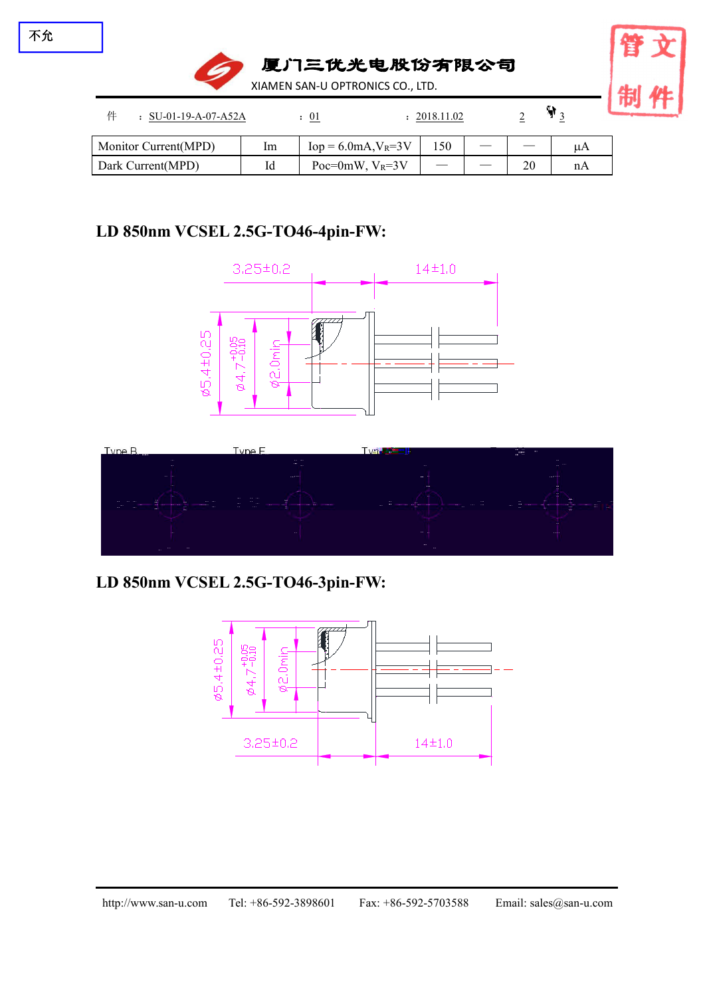

| Monitor Current(MPD) | lm        | $V_R = 3V$<br>$10p = 6.0mA$ , | 150 | __ | __                 | $\mu_{\Gamma}$ |
|----------------------|-----------|-------------------------------|-----|----|--------------------|----------------|
| Dark Current(MPD)    | T 1<br>1u | $V_R = 3V$<br>$Poc=0mW$ .     |     | __ | $\mathbf{a}$<br>∠∪ | nA             |

# **Mechanical Dimension and Pin Assignment:**

### **LD 850nm VCSEL 2.5G-TO46-4pin-FW:**





### **LD 850nm VCSEL 2.5G-TO46-3pin-FW:**